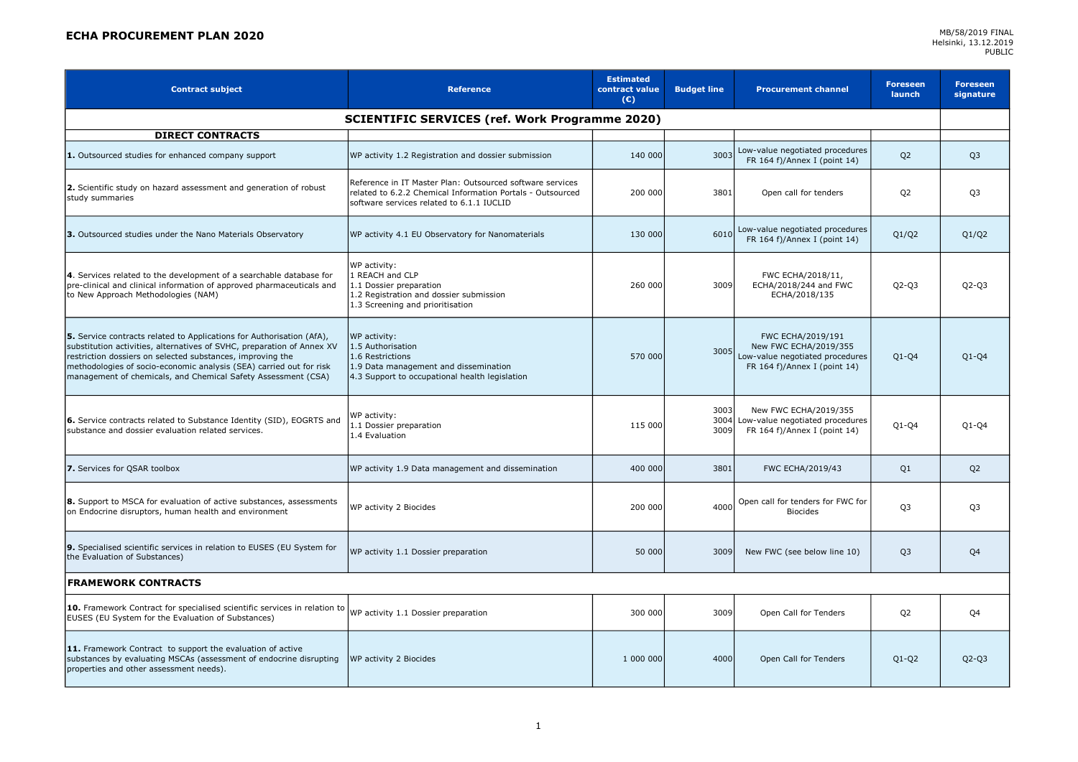## **ECHA PROCUREMENT PLAN 2020** MB/58/2019 FINAL

| <b>Contract subject</b>                                                                                                                                                                                                                                                                                                                               | <b>Reference</b>                                                                                                                                                     | <b>Estimated</b><br>contract value<br>$(\epsilon)$ | <b>Budget line</b>   | <b>Procurement channel</b>                                                                                    | <b>Foreseen</b><br><b>launch</b> | <b>Foreseen</b><br>signature |  |
|-------------------------------------------------------------------------------------------------------------------------------------------------------------------------------------------------------------------------------------------------------------------------------------------------------------------------------------------------------|----------------------------------------------------------------------------------------------------------------------------------------------------------------------|----------------------------------------------------|----------------------|---------------------------------------------------------------------------------------------------------------|----------------------------------|------------------------------|--|
| <b>SCIENTIFIC SERVICES (ref. Work Programme 2020)</b>                                                                                                                                                                                                                                                                                                 |                                                                                                                                                                      |                                                    |                      |                                                                                                               |                                  |                              |  |
| <b>DIRECT CONTRACTS</b>                                                                                                                                                                                                                                                                                                                               |                                                                                                                                                                      |                                                    |                      |                                                                                                               |                                  |                              |  |
| 1. Outsourced studies for enhanced company support                                                                                                                                                                                                                                                                                                    | WP activity 1.2 Registration and dossier submission                                                                                                                  | 140 000                                            | 3003                 | Low-value negotiated procedures<br>FR 164 f)/Annex I (point 14)                                               | Q <sub>2</sub>                   | Q <sub>3</sub>               |  |
| 2. Scientific study on hazard assessment and generation of robust<br>study summaries                                                                                                                                                                                                                                                                  | Reference in IT Master Plan: Outsourced software services<br>related to 6.2.2 Chemical Information Portals - Outsourced<br>software services related to 6.1.1 IUCLID | 200 000                                            | 3801                 | Open call for tenders                                                                                         | Q <sub>2</sub>                   | Q <sub>3</sub>               |  |
| 3. Outsourced studies under the Nano Materials Observatory                                                                                                                                                                                                                                                                                            | WP activity 4.1 EU Observatory for Nanomaterials                                                                                                                     | 130 000                                            | 6010                 | Low-value negotiated procedures<br>FR 164 f)/Annex I (point 14)                                               | Q1/Q2                            | Q1/Q2                        |  |
| 4. Services related to the development of a searchable database for<br>pre-clinical and clinical information of approved pharmaceuticals and<br>to New Approach Methodologies (NAM)                                                                                                                                                                   | WP activity:<br>1 REACH and CLP<br>1.1 Dossier preparation<br>1.2 Registration and dossier submission<br>1.3 Screening and prioritisation                            | 260 000                                            | 3009                 | FWC ECHA/2018/11,<br>ECHA/2018/244 and FWC<br>ECHA/2018/135                                                   | $Q2-Q3$                          | $Q2-Q3$                      |  |
| 5. Service contracts related to Applications for Authorisation (AfA),<br>substitution activities, alternatives of SVHC, preparation of Annex XV<br>restriction dossiers on selected substances, improving the<br>methodologies of socio-economic analysis (SEA) carried out for risk<br>management of chemicals, and Chemical Safety Assessment (CSA) | WP activity:<br>1.5 Authorisation<br>1.6 Restrictions<br>1.9 Data management and dissemination<br>4.3 Support to occupational health legislation                     | 570 000                                            | 3005                 | FWC ECHA/2019/191<br>New FWC ECHA/2019/355<br>Low-value negotiated procedures<br>FR 164 f)/Annex I (point 14) | $Q1-Q4$                          | $Q1-Q4$                      |  |
| 6. Service contracts related to Substance Identity (SID), EOGRTS and<br>substance and dossier evaluation related services.                                                                                                                                                                                                                            | WP activity:<br>1.1 Dossier preparation<br>1.4 Evaluation                                                                                                            | 115 000                                            | 3003<br>3004<br>3009 | New FWC ECHA/2019/355<br>Low-value negotiated procedures<br>FR 164 f)/Annex I (point 14)                      | $Q1-Q4$                          | $Q1-Q4$                      |  |
| 7. Services for QSAR toolbox                                                                                                                                                                                                                                                                                                                          | WP activity 1.9 Data management and dissemination                                                                                                                    | 400 000                                            | 3801                 | FWC ECHA/2019/43                                                                                              | Q1                               | Q <sub>2</sub>               |  |
| 8. Support to MSCA for evaluation of active substances, assessments<br>on Endocrine disruptors, human health and environment                                                                                                                                                                                                                          | WP activity 2 Biocides                                                                                                                                               | 200 000                                            | 4000                 | Open call for tenders for FWC for<br><b>Biocides</b>                                                          | Q <sub>3</sub>                   | Q <sub>3</sub>               |  |
| 9. Specialised scientific services in relation to EUSES (EU System for<br>the Evaluation of Substances)                                                                                                                                                                                                                                               | WP activity 1.1 Dossier preparation                                                                                                                                  | 50 000                                             | 3009                 | New FWC (see below line 10)                                                                                   | Q <sub>3</sub>                   | Q4                           |  |
| <b>FRAMEWORK CONTRACTS</b>                                                                                                                                                                                                                                                                                                                            |                                                                                                                                                                      |                                                    |                      |                                                                                                               |                                  |                              |  |
| 10. Framework Contract for specialised scientific services in relation to<br>EUSES (EU System for the Evaluation of Substances)                                                                                                                                                                                                                       | WP activity 1.1 Dossier preparation                                                                                                                                  | 300 000                                            | 3009                 | Open Call for Tenders                                                                                         | Q <sub>2</sub>                   | Q4                           |  |
| 11. Framework Contract to support the evaluation of active<br>substances by evaluating MSCAs (assessment of endocrine disrupting<br>properties and other assessment needs).                                                                                                                                                                           | WP activity 2 Biocides                                                                                                                                               | 1 000 000                                          | 4000                 | Open Call for Tenders                                                                                         | $Q1 - Q2$                        | $Q2 - Q3$                    |  |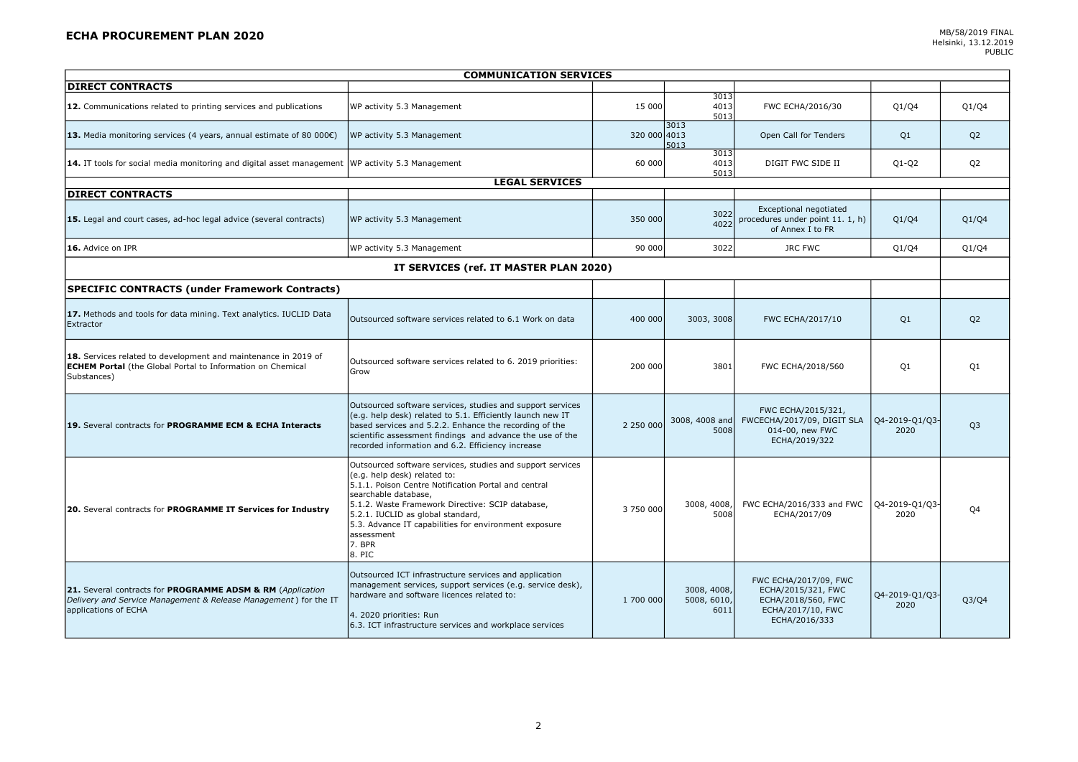## **ECHA PROCUREMENT PLAN 2020** MB/58/2019 FINAL

| <b>COMMUNICATION SERVICES</b>                                                                                                                          |                                                                                                                                                                                                                                                                                                                                                                |              |                                    |                                                                                                         |                        |                |  |
|--------------------------------------------------------------------------------------------------------------------------------------------------------|----------------------------------------------------------------------------------------------------------------------------------------------------------------------------------------------------------------------------------------------------------------------------------------------------------------------------------------------------------------|--------------|------------------------------------|---------------------------------------------------------------------------------------------------------|------------------------|----------------|--|
| <b>DIRECT CONTRACTS</b>                                                                                                                                |                                                                                                                                                                                                                                                                                                                                                                |              |                                    |                                                                                                         |                        |                |  |
| 12. Communications related to printing services and publications                                                                                       | WP activity 5.3 Management                                                                                                                                                                                                                                                                                                                                     | 15 000       | 3013<br>4013<br>5013               | FWC ECHA/2016/30                                                                                        | Q1/Q4                  | Q1/Q4          |  |
| 13. Media monitoring services (4 years, annual estimate of 80 000 $\varepsilon$ )                                                                      | WP activity 5.3 Management                                                                                                                                                                                                                                                                                                                                     | 320 000 4013 | 3013<br>5013                       | Open Call for Tenders                                                                                   | Q1                     | Q <sub>2</sub> |  |
| 14. IT tools for social media monitoring and digital asset management WP activity 5.3 Management                                                       |                                                                                                                                                                                                                                                                                                                                                                | 60 000       | 3013<br>4013<br>5013               | DIGIT FWC SIDE II                                                                                       | $Q1-Q2$                | Q <sub>2</sub> |  |
|                                                                                                                                                        | <b>LEGAL SERVICES</b>                                                                                                                                                                                                                                                                                                                                          |              |                                    |                                                                                                         |                        |                |  |
| <b>DIRECT CONTRACTS</b>                                                                                                                                |                                                                                                                                                                                                                                                                                                                                                                |              |                                    |                                                                                                         |                        |                |  |
| 15. Legal and court cases, ad-hoc legal advice (several contracts)                                                                                     | WP activity 5.3 Management                                                                                                                                                                                                                                                                                                                                     | 350 000      | 3022<br>4022                       | Exceptional negotiated<br>procedures under point 11. 1, h)<br>of Annex I to FR                          | Q1/Q4                  | Q1/Q4          |  |
| 16. Advice on IPR                                                                                                                                      | WP activity 5.3 Management                                                                                                                                                                                                                                                                                                                                     | 90 000       | 3022                               | <b>JRC FWC</b>                                                                                          | Q1/Q4                  | Q1/Q4          |  |
| IT SERVICES (ref. IT MASTER PLAN 2020)                                                                                                                 |                                                                                                                                                                                                                                                                                                                                                                |              |                                    |                                                                                                         |                        |                |  |
| <b>SPECIFIC CONTRACTS (under Framework Contracts)</b>                                                                                                  |                                                                                                                                                                                                                                                                                                                                                                |              |                                    |                                                                                                         |                        |                |  |
| 17. Methods and tools for data mining. Text analytics. IUCLID Data<br>Extractor                                                                        | Outsourced software services related to 6.1 Work on data                                                                                                                                                                                                                                                                                                       | 400 000      | 3003, 3008                         | FWC ECHA/2017/10                                                                                        | Q1                     | Q <sub>2</sub> |  |
| 18. Services related to development and maintenance in 2019 of<br><b>ECHEM Portal</b> (the Global Portal to Information on Chemical<br>Substances)     | Outsourced software services related to 6. 2019 priorities:<br>Grow                                                                                                                                                                                                                                                                                            | 200 000      | 3801                               | FWC ECHA/2018/560                                                                                       | Q1                     | Q1             |  |
| 19. Several contracts for PROGRAMME ECM & ECHA Interacts                                                                                               | Outsourced software services, studies and support services<br>(e.g. help desk) related to 5.1. Efficiently launch new IT<br>based services and 5.2.2. Enhance the recording of the<br>scientific assessment findings and advance the use of the<br>recorded information and 6.2. Efficiency increase                                                           | 2 250 000    | 3008, 4008 and<br>5008             | FWC ECHA/2015/321,<br>FWCECHA/2017/09, DIGIT SLA<br>014-00, new FWC<br>ECHA/2019/322                    | Q4-2019-Q1/Q3-<br>2020 | Q <sub>3</sub> |  |
| 20. Several contracts for PROGRAMME IT Services for Industry                                                                                           | Outsourced software services, studies and support services<br>(e.g. help desk) related to:<br>5.1.1. Poison Centre Notification Portal and central<br>searchable database,<br>5.1.2. Waste Framework Directive: SCIP database,<br>5.2.1. IUCLID as global standard,<br>5.3. Advance IT capabilities for environment exposure<br>assessment<br>7. BPR<br>8. PIC | 3 750 000    | 3008, 4008,<br>5008                | FWC ECHA/2016/333 and FWC<br>ECHA/2017/09                                                               | Q4-2019-Q1/Q3<br>2020  | Q4             |  |
| 21. Several contracts for PROGRAMME ADSM & RM (Application<br>Delivery and Service Management & Release Management) for the IT<br>applications of ECHA | Outsourced ICT infrastructure services and application<br>management services, support services (e.g. service desk),<br>hardware and software licences related to:<br>4. 2020 priorities: Run<br>6.3. ICT infrastructure services and workplace services                                                                                                       | 1 700 000    | 3008, 4008,<br>5008, 6010,<br>6011 | FWC ECHA/2017/09, FWC<br>ECHA/2015/321, FWC<br>ECHA/2018/560, FWC<br>ECHA/2017/10, FWC<br>ECHA/2016/333 | Q4-2019-Q1/Q3-<br>2020 | Q3/Q4          |  |